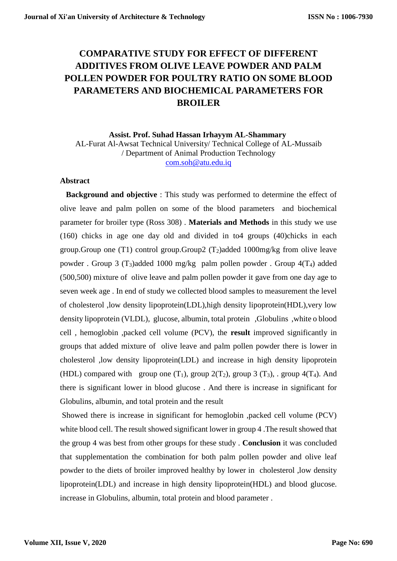# **COMPARATIVE STUDY FOR EFFECT OF DIFFERENT ADDITIVES FROM OLIVE LEAVE POWDER AND PALM POLLEN POWDER FOR POULTRY RATIO ON SOME BLOOD PARAMETERS AND BIOCHEMICAL PARAMETERS FOR BROILER**

## **Assist. Prof. Suhad Hassan Irhayym AL-Shammary** AL-Furat Al-Awsat Technical University/ Technical College of AL-Mussaib / Department of Animal Production Technology [com.soh@atu.edu.iq](mailto:com.soh@atu.edu.iq)

#### **Abstract**

 **Background and objective** : This study was performed to determine the effect of olive leave and palm pollen on some of the blood parameters and biochemical parameter for broiler type (Ross 308) . **Materials and Methods** in this study we use (160) chicks in age one day old and divided in to4 groups (40)chicks in each group.Group one (T1) control group.Group2  $(T_2)$ added 1000mg/kg from olive leave powder . Group 3 (T<sub>3</sub>)added 1000 mg/kg palm pollen powder . Group  $4(T_4)$  added (500,500) mixture of olive leave and palm pollen powder it gave from one day age to seven week age . In end of study we collected blood samples to measurement the level of cholesterol ,low density lipoprotein(LDL),high density lipoprotein(HDL),very low density lipoprotein (VLDL), glucose, albumin, total protein ,Globulins ,white o blood cell , hemoglobin ,packed cell volume (PCV), the **result** improved significantly in groups that added mixture of olive leave and palm pollen powder there is lower in cholesterol ,low density lipoprotein(LDL) and increase in high density lipoprotein (HDL) compared with group one  $(T_1)$ , group  $2(T_2)$ , group  $3 (T_3)$ , group  $4(T_4)$ . And there is significant lower in blood glucose . And there is increase in significant for Globulins, albumin, and total protein and the result

Showed there is increase in significant for hemoglobin ,packed cell volume (PCV) white blood cell. The result showed significant lower in group 4 .The result showed that the group 4 was best from other groups for these study . **Conclusion** it was concluded that supplementation the combination for both palm pollen powder and olive leaf powder to the diets of broiler improved healthy by lower in cholesterol ,low density lipoprotein(LDL) and increase in high density lipoprotein(HDL) and blood glucose. increase in Globulins, albumin, total protein and blood parameter .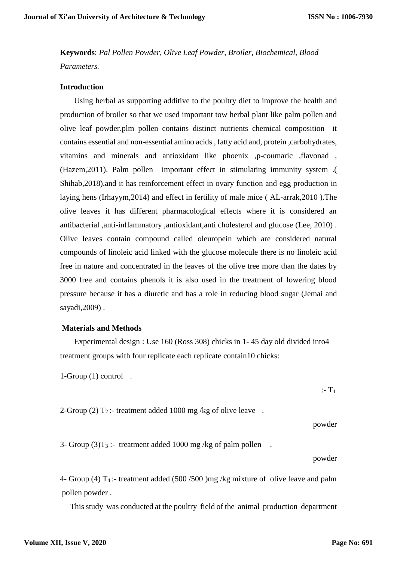**Keywords**: *Pal Pollen Powder, Olive Leaf Powder, Broiler, Biochemical, Blood Parameters.*

#### **Introduction**

 Using herbal as supporting additive to the poultry diet to improve the health and production of broiler so that we used important tow herbal plant like palm pollen and olive leaf powder.plm pollen contains distinct nutrients chemical composition it contains essential and non-essential amino acids , fatty acid and, protein ,carbohydrates, vitamins and minerals and antioxidant like phoenix ,p-coumaric ,flavonad , (Hazem,2011). Palm pollen important effect in stimulating immunity system .( Shihab,2018).and it has reinforcement effect in ovary function and egg production in laying hens (Irhayym,2014) and effect in fertility of male mice ( AL-arrak,2010 ).The olive leaves it has different pharmacological effects where it is considered an antibacterial ,anti-inflammatory ,antioxidant,anti cholesterol and glucose (Lee, 2010) . Olive leaves contain compound called oleuropein which are considered natural compounds of linoleic acid linked with the glucose molecule there is no linoleic acid free in nature and concentrated in the leaves of the olive tree more than the dates by 3000 free and contains phenols it is also used in the treatment of lowering blood pressure because it has a diuretic and has a role in reducing blood sugar (Jemai and sayadi,2009) .

#### **Materials and Methods**

 Experimental design : Use 160 (Ross 308) chicks in 1- 45 day old divided into4 treatment groups with four replicate each replicate contain10 chicks:

1-Group (1) control .

2-Group (2)  $T_2$ :- treatment added 1000 mg/kg of olive leave.

powder

 $:$  T<sub>1</sub>

3- Group  $(3)T_3$  :- treatment added 1000 mg/kg of palm pollen.

powder

4- Group (4) T<sup>4</sup> :- treatment added (500 /500 )mg /kg mixture of olive leave and palm pollen powder .

This study was conducted at the poultry field of the animal production department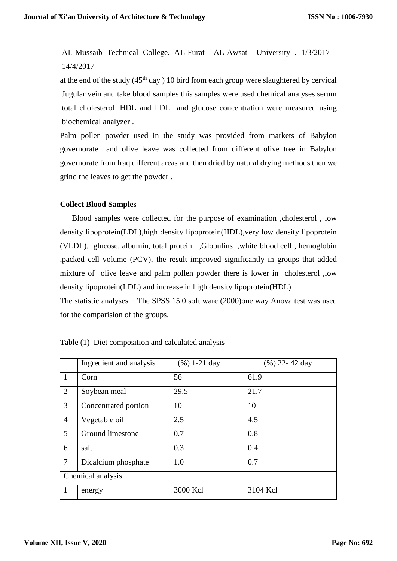AL-Mussaib Technical College. AL-Furat AL-Awsat University . 1/3/2017 - 14/4/2017

at the end of the study  $(45<sup>th</sup>$  day ) 10 bird from each group were slaughtered by cervical Jugular vein and take blood samples this samples were used chemical analyses serum total cholesterol .HDL and LDL and glucose concentration were measured using biochemical analyzer .

Palm pollen powder used in the study was provided from markets of Babylon governorate and olive leave was collected from different olive tree in Babylon governorate from Iraq different areas and then dried by natural drying methods then we grind the leaves to get the powder .

## **Collect Blood Samples**

 Blood samples were collected for the purpose of examination ,cholesterol , low density lipoprotein(LDL),high density lipoprotein(HDL),very low density lipoprotein (VLDL), glucose, albumin, total protein ,Globulins ,white blood cell , hemoglobin ,packed cell volume (PCV), the result improved significantly in groups that added mixture of olive leave and palm pollen powder there is lower in cholesterol ,low density lipoprotein(LDL) and increase in high density lipoprotein(HDL) .

The statistic analyses : The SPSS 15.0 soft ware (2000)one way Anova test was used for the comparision of the groups.

|                   | Ingredient and analysis | $(\%)$ 1-21 day | $(\%)$ 22-42 day |  |  |
|-------------------|-------------------------|-----------------|------------------|--|--|
| $\mathbf{1}$      | Corn                    | 56              | 61.9             |  |  |
| 2                 | Soybean meal            | 29.5            | 21.7             |  |  |
| 3                 | Concentrated portion    | 10              | 10               |  |  |
| $\overline{4}$    | Vegetable oil           | 2.5             | 4.5              |  |  |
| 5                 | Ground limestone        | 0.7             | 0.8              |  |  |
| 6                 | salt                    | 0.3             | 0.4              |  |  |
| $\overline{7}$    | Dicalcium phosphate     | 1.0             | 0.7              |  |  |
| Chemical analysis |                         |                 |                  |  |  |
| 1                 | energy                  | 3000 Kcl        | 3104 Kcl         |  |  |

| Table (1) Diet composition and calculated analysis |  |  |  |  |
|----------------------------------------------------|--|--|--|--|
|                                                    |  |  |  |  |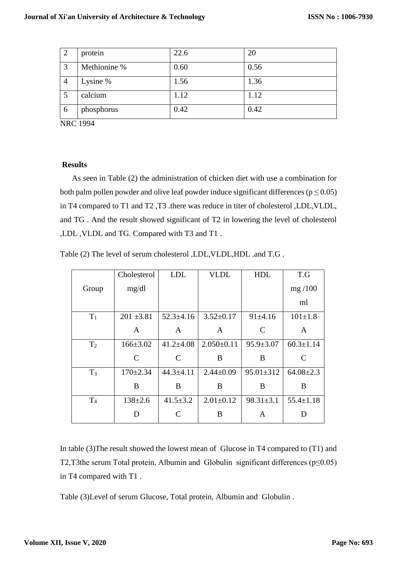| 2              | protein      | 22.6 | 20   |
|----------------|--------------|------|------|
| $\overline{3}$ | Methionine % | 0.60 | 0.56 |
| $\overline{4}$ | Lysine %     | 1.56 | 1.36 |
|                | calcium      | 1.12 | 1.12 |
| 6              | phosphorus   | 0.42 | 0.42 |

NRC 1994

### **Results**

 As seen in Table (2) the administration of chicken diet with use a combination for both palm pollen powder and olive leaf powder induce significant differences ( $p \le 0.05$ ) in T4 compared to T1 and T2 ,T3 .there was reduce in titer of cholesterol ,LDL,VLDL, and TG . And the result showed significant of T2 in lowering the level of cholesterol ,LDL ,VLDL and TG. Compared with T3 and T1 .

Table (2) The level of serum cholesterol ,LDL,VLDL,HDL .and T.G .

|                | Cholesterol    | <b>LDL</b>      | <b>VLDL</b>      | <b>HDL</b>      | T.G             |
|----------------|----------------|-----------------|------------------|-----------------|-----------------|
| Group          | mg/dl          |                 |                  |                 | mg/100          |
|                |                |                 |                  |                 | ml              |
| $T_1$          | $201 \pm 3.81$ | $52.3 \pm 4.16$ | $3.52 \pm 0.17$  | 91±4.16         | $101 \pm 1.8$   |
|                | A              | A               | A                | $\mathcal{C}$   | A               |
| T <sub>2</sub> | $166 \pm 3.02$ | $41.2 \pm 4.08$ | $2.050 \pm 0.11$ | $95.9 \pm 3.07$ | $60.3 \pm 1.14$ |
|                | C              | $\mathcal{C}$   | B                | B               | C               |
| $T_3$          | $170 \pm 2.34$ | $44.3 \pm 4.11$ | $2.44 \pm 0.09$  | $95.01 \pm 312$ | $64.08 \pm 2.3$ |
|                | B              | B               | B                | B               | B               |
| T <sub>4</sub> | $138 \pm 2.6$  | $41.5 \pm 3.2$  | $2.01 \pm 0.12$  | $98.31 \pm 3.1$ | $55.4 \pm 1.18$ |
|                | D              | $\mathcal{C}$   | B                | A               | D               |

In table (3)The result showed the lowest mean of Glucose in T4 compared to (T1) and T2,T3the serum Total protein, Albumin and Globulin significant differences ( $p \le 0.05$ ) in T4 compared with T1 .

Table (3)Level of serum Glucose, Total protein, Albumin and Globulin .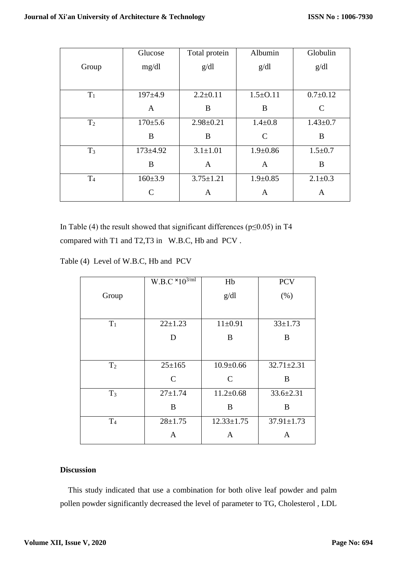|                | Glucose        | Total protein   | Albumin        | Globulin       |
|----------------|----------------|-----------------|----------------|----------------|
| Group          | mg/dl          | g/dl            | g/dl           | g/dl           |
|                |                |                 |                |                |
| $T_1$          | $197+4.9$      | $2.2 \pm 0.11$  | $1.5 \pm 0.11$ | $0.7 \pm 0.12$ |
|                | A              | B               | B              | $\mathcal{C}$  |
| T <sub>2</sub> | $170+5.6$      | $2.98 \pm 0.21$ | $1.4 \pm 0.8$  | $1.43 \pm 0.7$ |
|                | B              | B               | $\mathcal{C}$  | B              |
| $T_3$          | $173 \pm 4.92$ | $3.1 \pm 1.01$  | $1.9 \pm 0.86$ | $1.5 \pm 0.7$  |
|                | B              | A               | A              | B              |
| T <sub>4</sub> | $160+3.9$      | $3.75 \pm 1.21$ | $1.9 \pm 0.85$ | $2.1 \pm 0.3$  |
|                | $\subset$      | A               | A              | A              |

In Table (4) the result showed that significant differences ( $p \le 0.05$ ) in T4 compared with T1 and T2,T3 in W.B.C, Hb and PCV .

Table (4) Level of W.B.C, Hb and PCV

|                | W.B.C $\times 10^{3/ml}$ | Hb               | <b>PCV</b>       |
|----------------|--------------------------|------------------|------------------|
| Group          |                          | g/dl             | (% )             |
|                |                          |                  |                  |
| $T_1$          | $22 \pm 1.23$            | $11 \pm 0.91$    | $33 \pm 1.73$    |
|                | D                        | B                | B                |
|                |                          |                  |                  |
| T <sub>2</sub> | $25 \pm 165$             | $10.9 \pm 0.66$  | $32.71 \pm 2.31$ |
|                | $\mathbf C$              | $\mathsf{C}$     | B                |
| $T_3$          | $27 + 1.74$              | $11.2 \pm 0.68$  | $33.6 \pm 2.31$  |
|                | B                        | B                | B                |
| T <sub>4</sub> | $28 \pm 1.75$            | $12.33 \pm 1.75$ | $37.91 \pm 1.73$ |
|                | A                        | A                | A                |

## **Discussion**

 This study indicated that use a combination for both olive leaf powder and palm pollen powder significantly decreased the level of parameter to TG, Cholesterol , LDL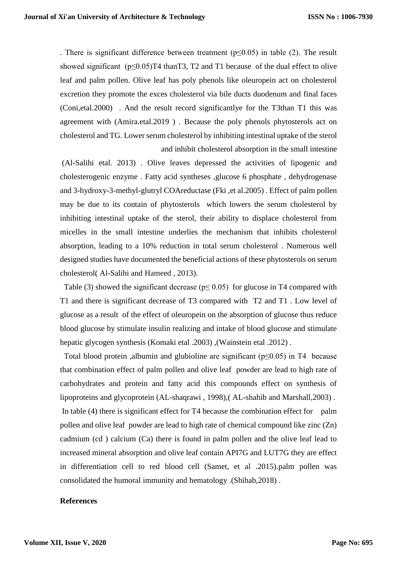. There is significant difference between treatment ( $p \le 0.05$ ) in table (2). The result showed significant ( $p \le 0.05$ )T4 thanT3, T2 and T1 because of the dual effect to olive leaf and palm pollen. Olive leaf has poly phenols like oleuropein act on cholesterol excretion they promote the exces cholesterol via bile ducts duodenum and final faces (Coni,etal.2000) . And the result record significantlye for the T3than T1 this was agreement with (Amira.etal.2019 ) . Because the poly phenols phytosterols act on cholesterol and TG. Lower serum cholesterol by inhibiting intestinal uptake of the sterol and inhibit cholesterol absorption in the small intestine

(Al-Salihi etal. 2013) . Olive leaves depressed the activities of lipogenic and cholesterogenic enzyme . Fatty acid syntheses ,glucose 6 phosphate , dehydrogenase and 3-hydroxy-3-methyl-glutryl COAreductase (Fki ,et al.2005) . Effect of palm pollen may be due to its contain of phytosterols which lowers the serum cholesterol by inhibiting intestinal uptake of the sterol, their ability to displace cholesterol from micelles in the small intestine underlies the mechanism that inhibits cholesterol absorption, leading to a 10% reduction in total serum cholesterol . Numerous well designed studies have documented the beneficial actions of these phytosterols on serum cholesterol( Al-Salihi and Hameed , 2013).

Table (3) showed the significant decrease ( $p \le 0.05$ ) for glucose in T4 compared with T1 and there is significant decrease of T3 compared with T2 and T1 . Low level of glucose as a result of the effect of oleuropein on the absorption of glucose thus reduce blood glucose by stimulate insulin realizing and intake of blood glucose and stimulate hepatic glycogen synthesis (Komaki etal .2003) ,(Wainstein etal .2012) .

Total blood protein, albumin and glubioline are significant ( $p \le 0.05$ ) in T4 because that combination effect of palm pollen and olive leaf powder are lead to high rate of carbohydrates and protein and fatty acid this compounds effect on synthesis of lipoproteins and glycoprotein (AL-shaqrawi , 1998),( AL-shahib and Marshall,2003) . In table (4) there is significant effect for T4 because the combination effect for palm pollen and olive leaf powder are lead to high rate of chemical compound like zinc (Zn) cadmium (cd ) calcium (Ca) there is found in palm pollen and the olive leaf lead to increased mineral absorption and olive leaf contain API7G and LUT7G they are effect in differentiation cell to red blood cell (Samet, et al .2015).palm pollen was consolidated the humoral immunity and hematology .(Shihab,2018) .

#### **References**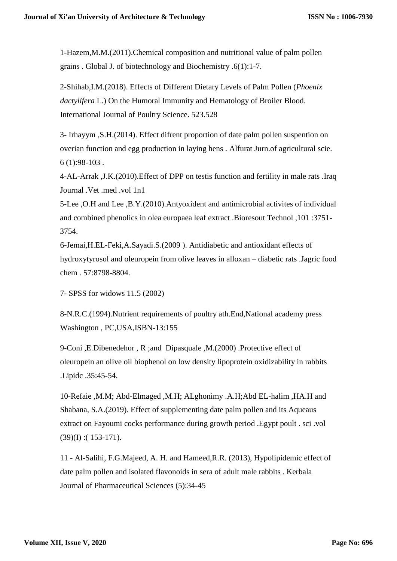1-Hazem,M.M.(2011).Chemical composition and nutritional value of palm pollen grains . Global J. of biotechnology and Biochemistry .6(1):1-7.

2-Shihab,I.M.(2018). Effects of Different Dietary Levels of Palm Pollen (*Phoenix dactylifera* L.) On the Humoral Immunity and Hematology of Broiler Blood. International Journal of Poultry Science. 523.528

3- Irhayym ,S.H.(2014). Effect difrent proportion of date palm pollen suspention on overian function and egg production in laying hens . Alfurat Jurn.of agricultural scie. 6 (1):98-103 .

4-AL-Arrak ,J.K.(2010).Effect of DPP on testis function and fertility in male rats .Iraq Journal .Vet .med .vol 1n1

5-Lee ,O.H and Lee ,B.Y.(2010).Antyoxident and antimicrobial activites of individual and combined phenolics in olea europaea leaf extract .Bioresout Technol ,101 :3751- 3754.

6-Jemai,H.EL-Feki,A.Sayadi.S.(2009 ). Antidiabetic and antioxidant effects of hydroxytyrosol and oleuropein from olive leaves in alloxan – diabetic rats .Jagric food chem . 57:8798-8804.

7- SPSS for widows 11.5 (2002)

8-N.R.C.(1994).Nutrient requirements of poultry ath.End,National academy press Washington , PC,USA,ISBN-13:155

9-Coni ,E.Dibenedehor , R ;and Dipasquale ,M.(2000) .Protective effect of oleuropein an olive oil biophenol on low density lipoprotein oxidizability in rabbits .Lipidc .35:45-54.

10-Refaie ,M.M; Abd-Elmaged ,M.H; ALghonimy .A.H;Abd EL-halim ,HA.H and Shabana, S.A.(2019). Effect of supplementing date palm pollen and its Aqueaus extract on Fayoumi cocks performance during growth period .Egypt poult . sci .vol (39)(I) :( 153-171).

11 - Al-Salihi, F.G.Majeed, A. H. and Hameed,R.R. (2013), Hypolipidemic effect of date palm pollen and isolated flavonoids in sera of adult male rabbits . Kerbala Journal of Pharmaceutical Sciences (5):34-45